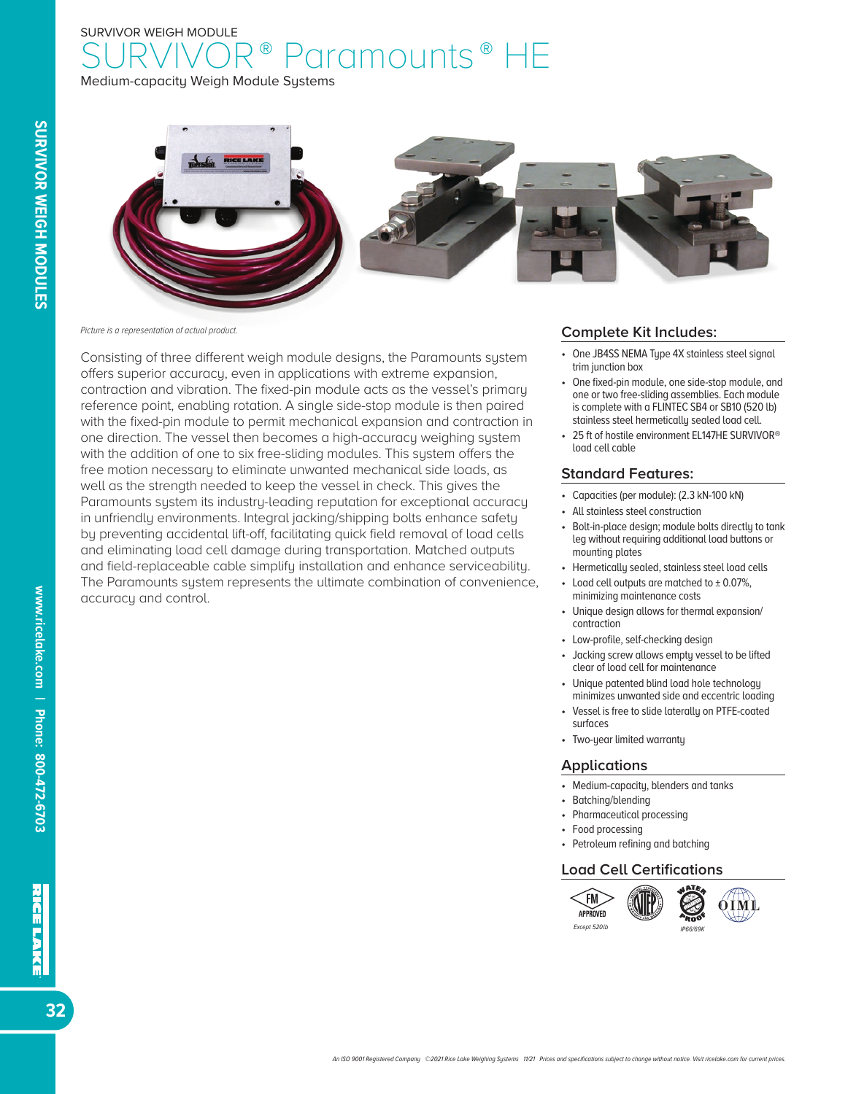# SURVIVOR WEIGH MODULE aramounts<sup>®</sup> HE

Medium-capacity Weigh Module Systems



*Picture is a representation of actual product.*

Consisting of three different weigh module designs, the Paramounts system offers superior accuracy, even in applications with extreme expansion, contraction and vibration. The fixed-pin module acts as the vessel's primary reference point, enabling rotation. A single side-stop module is then paired with the fixed-pin module to permit mechanical expansion and contraction in one direction. The vessel then becomes a high-accuracy weighing system with the addition of one to six free-sliding modules. This system offers the free motion necessary to eliminate unwanted mechanical side loads, as well as the strength needed to keep the vessel in check. This gives the Paramounts system its industry-leading reputation for exceptional accuracy in unfriendly environments. Integral jacking/shipping bolts enhance safety by preventing accidental lift-off, facilitating quick field removal of load cells and eliminating load cell damage during transportation. Matched outputs and field-replaceable cable simplify installation and enhance serviceability. The Paramounts system represents the ultimate combination of convenience, accuracy and control.

#### **Complete Kit Includes:**

- One JB4SS NEMA Type 4X stainless steel signal trim junction box
- One fixed-pin module, one side-stop module, and one or two free-sliding assemblies. Each module is complete with a FLINTEC SB4 or SB10 (520 lb) stainless steel hermetically sealed load cell.
- 25 ft of hostile environment EL147HE SURVIVOR<sup>®</sup> load cell cable

#### **Standard Features:**

- Capacities (per module): (2.3 kN-100 kN)
- All stainless steel construction
- Bolt-in-place design; module bolts directly to tank leg without requiring additional load buttons or mounting plates
- Hermetically sealed, stainless steel load cells
- Load cell outputs are matched to  $\pm$  0.07%, minimizing maintenance costs
- Unique design allows for thermal expansion/ contraction
- Low-profile, self-checking design
- Jacking screw allows empty vessel to be lifted clear of load cell for maintenance
- Unique patented blind load hole technology minimizes unwanted side and eccentric loading
- Vessel is free to slide laterally on PTFE-coated surfaces
- Two-year limited warranty

#### **Applications**

- Medium-capacity, blenders and tanks
- Batching/blending
- Pharmaceutical processing
- Food processing
- Petroleum refining and batching

#### **Load Cell Certifications**



32